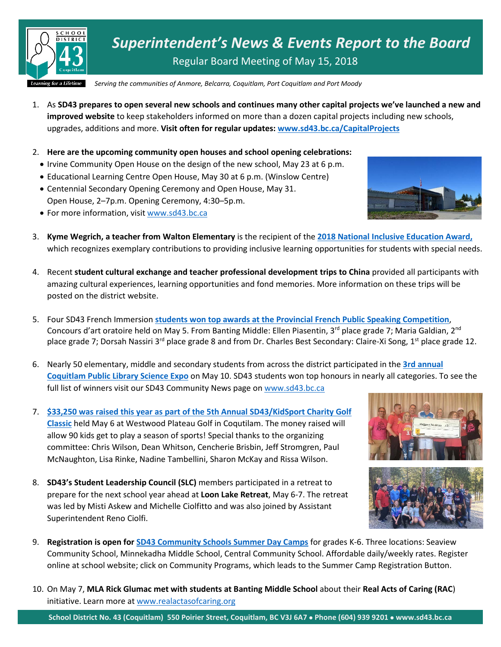

*Superintendent's News & Events Report to the Board* Regular Board Meeting of May 15, 2018

*Serving the communities of Anmore, Belcarra, Coquitlam, Port Coquitlam and Port Moody*

- 1. As **SD43 prepares to open several new schools and continues many other capital projects we've launched a new and improved website** to keep stakeholders informed on more than a dozen capital projects including new schools, upgrades, additions and more. **Visit often for regular updates[: www.sd43.bc.ca/CapitalProjects](http://www.sd43.bc.ca/CapitalProjects)**
- 2. **Here are the upcoming community open houses and school opening celebrations:**
	- Irvine Community Open House on the design of the new school, May 23 at 6 p.m.
	- Educational Learning Centre Open House, May 30 at 6 p.m. (Winslow Centre)
	- Centennial Secondary Opening Ceremony and Open House, May 31. Open House, 2–7p.m. Opening Ceremony, 4:30–5p.m.
	- For more information, visit [www.sd43.bc.ca](http://www.sd43.bc.ca/)
- 3. **Kyme Wegrich, a teacher from Walton Elementary** is the recipient of the **[2018 National Inclusive Education Award,](http://www.inclusionbc.org/inclusive-education/whats-new/educators-6-bc-communities-win-national-inclusive-education-awards)** which recognizes exemplary contributions to providing inclusive learning opportunities for students with special needs.
- 4. Recent **student cultural exchange and teacher professional development trips to China** provided all participants with amazing cultural experiences, learning opportunities and fond memories. More information on these trips will be posted on the district website.
- 5. Four SD43 French Immersion **students won top awards at the Provincial [French Public Speaking Competition](https://www.sd43.bc.ca/Pages/newsitem.aspx?ItemID=164&ListID=c4134e88-bc0d-484f-9d4d-93c69db7f94f&TemplateID=Announcement_Item)**, Concours d'art oratoire held on May 5. From Banting Middle: Ellen Piasentin, 3<sup>rd</sup> place grade 7; Maria Galdian, 2<sup>nd</sup> place grade 7; Dorsah Nassiri 3<sup>rd</sup> place grade 8 and from Dr. Charles Best Secondary: Claire-Xi Song, 1<sup>st</sup> place grade 12.
- 6. Nearly 50 elementary, middle and secondary students from across the district participated in the **[3rd annual](https://www.sd43.bc.ca/Pages/newsitem.aspx?ItemID=166&ListID=c4134e88-bc0d-484f-9d4d-93c69db7f94f&TemplateID=Announcement_Item)  [Coquitlam Public Library Science Expo](https://www.sd43.bc.ca/Pages/newsitem.aspx?ItemID=166&ListID=c4134e88-bc0d-484f-9d4d-93c69db7f94f&TemplateID=Announcement_Item)** on May 10. SD43 students won top honours in nearly all categories. To see the full list of winners visit our SD43 Community News page on [www.sd43.bc.ca](http://www.sd43.bc.ca/)
- 7. **\$33,250 was raised this year as part of [the 5th Annual SD43/KidSport Charity Golf](https://www.sd43.bc.ca/Pages/newsitem.aspx?ItemID=163&ListID=c4134e88-bc0d-484f-9d4d-93c69db7f94f&TemplateID=Announcement_Item)  [Classic](https://www.sd43.bc.ca/Pages/newsitem.aspx?ItemID=163&ListID=c4134e88-bc0d-484f-9d4d-93c69db7f94f&TemplateID=Announcement_Item)** held May 6 at Westwood Plateau Golf in Coqutilam. The money raised will allow 90 kids get to play a season of sports! Special thanks to the organizing committee: Chris Wilson, Dean Whitson, Cencherie Brisbin, Jeff Stromgren, Paul McNaughton, Lisa Rinke, Nadine Tambellini, Sharon McKay and Rissa Wilson.
- 8. **SD43's Student Leadership Council (SLC)** members participated in a retreat to prepare for the next school year ahead at **Loon Lake Retreat**, May 6-7. The retreat was led by Misti Askew and Michelle Ciolfitto and was also joined by Assistant Superintendent Reno Ciolfi.





- 9. **Registration is open fo[r SD43 Community Schools Summer Day Camps](https://www.sd43.bc.ca/Programs/CSP/Documents/SummerCamp.pdf)** for grades K-6. Three locations: Seaview Community School, Minnekadha Middle School, Central Community School. Affordable daily/weekly rates. Register online at school website; click on Community Programs, which leads to the Summer Camp Registration Button.
- 10. On May 7, **MLA Rick Glumac met with students at Banting Middle School** about their **Real Acts of Caring (RAC**) initiative. Learn more at [www.realactasofcaring.org](http://www.realactasofcaring.org/)

**School District No. 43 (Coquitlam) 550 Poirier Street, Coquitlam, BC V3J 6A7** • **Phone (604) 939 9201** • **www.sd43.bc.ca**